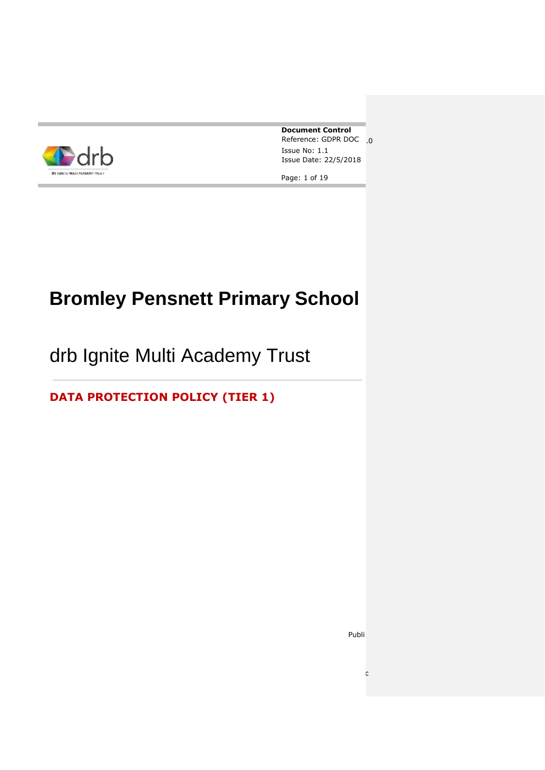

Reference: GDPR DOC 0 **Document Control** Issue No: 1.1 Issue Date: 22/5/2018

Page: 1 of 19

# **Bromley Pensnett Primary School**

drb Ignite Multi Academy Trust

**DATA PROTECTION POLICY (TIER 1)** 

Publi

c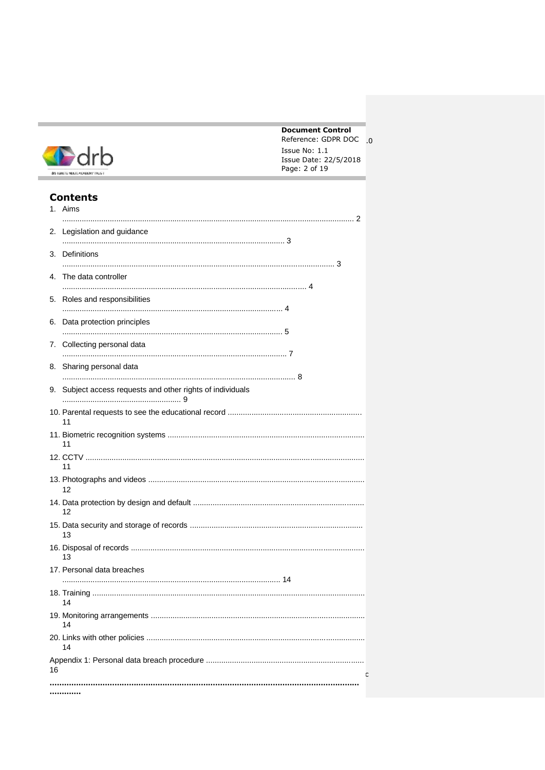| <b>30 ISBN IS MULTERCADERY TRUST</b> |  |  |  |  |  |
|--------------------------------------|--|--|--|--|--|

# **Contents**

|    | 1. Aims                                                    |
|----|------------------------------------------------------------|
| 2. | Legislation and guidance                                   |
| 3. | Definitions                                                |
| 4. | The data controller                                        |
|    | 5. Roles and responsibilities                              |
|    | 6. Data protection principles                              |
|    | 7. Collecting personal data                                |
|    | 8. Sharing personal data                                   |
|    | 9. Subject access requests and other rights of individuals |
|    | 11                                                         |
|    | 11                                                         |
|    | 11                                                         |
|    | 12                                                         |
|    | 12                                                         |
|    | 13                                                         |
|    | 13                                                         |
|    | 17. Personal data breaches                                 |
|    | 14                                                         |
|    | 14                                                         |
|    | 14                                                         |
| 16 |                                                            |
|    |                                                            |

### **Document Control**

Reference: GDPR DOC .0 Issue No: 1.1<br>Issue Date: 22/5/2018<br>Page: 2 of 19

 $\mathsf{C}$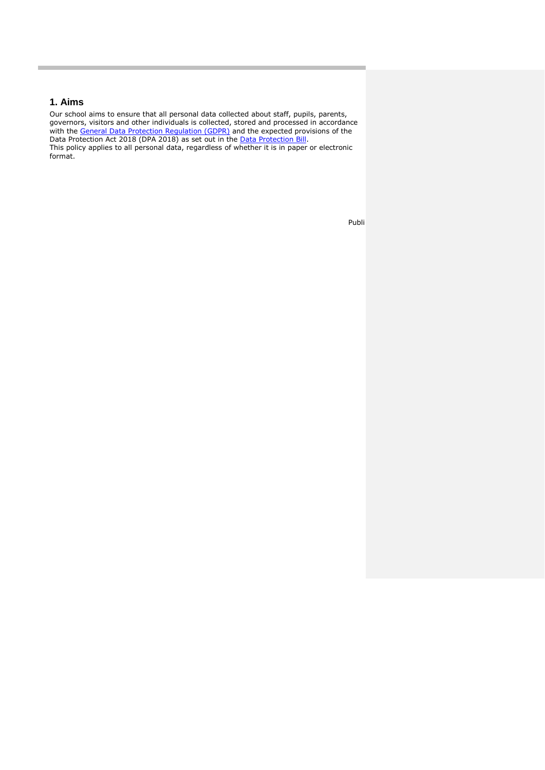### **1. Aims**

Our school aims to ensure that all personal data collected about staff, pupils, parents, governors, visitors and other individuals is collected, stored and processed in accordance with th[e General Data Protection Regulation \(GDPR\)](http://data.consilium.europa.eu/doc/document/ST-5419-2016-INIT/en/pdf) and the expected provisions of the Data Protection Act 2018 (DPA 2018) as set out in the Data Protection Bill. This policy applies to all personal data, regardless of whether it is in paper or electronic format.

Publi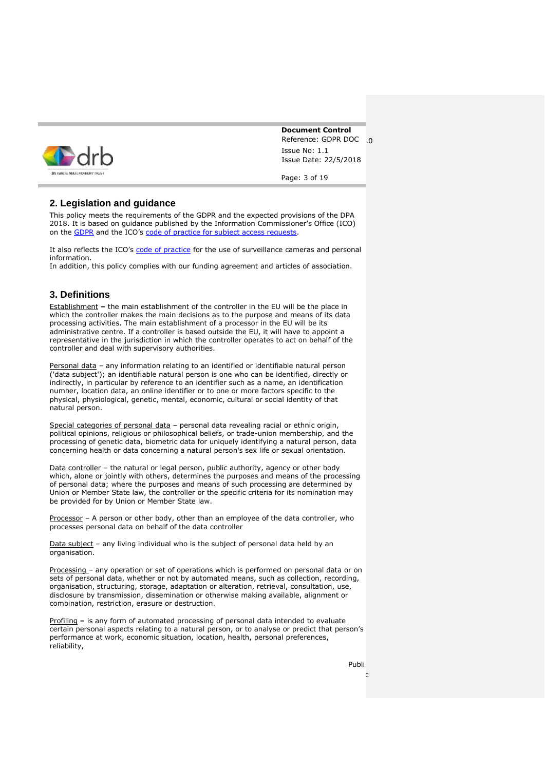

Reference: GDPR DOC 0 Issue No: 1.1 Issue Date: 22/5/2018

Page: 3 of 19

### **2. Legislation and guidance**

This policy meets the requirements of the GDPR and the expected provisions of the DPA 2018. It is based on guidance published by the Information Commissioner's Office (ICO) on the [GDPR](https://ico.org.uk/for-organisations/guide-to-the-general-data-protection-regulation-gdpr/) and the ICO's [code of practice for subject access requests.](https://ico.org.uk/media/for-organisations/documents/2014223/subject-access-code-of-practice.pdf)

It also reflects the ICO's [code of practice](https://ico.org.uk/media/for-organisations/documents/1542/cctv-code-of-practice.pdf) for the use of surveillance cameras and personal information.

In addition, this policy complies with our funding agreement and articles of association.

### **3. Definitions**

Establishment **–** the main establishment of the controller in the EU will be the place in which the controller makes the main decisions as to the purpose and means of its data processing activities. The main establishment of a processor in the EU will be its administrative centre. If a controller is based outside the EU, it will have to appoint a representative in the jurisdiction in which the controller operates to act on behalf of the controller and deal with supervisory authorities.

Personal data – any information relating to an identified or identifiable natural person ('data subject'); an identifiable natural person is one who can be identified, directly or indirectly, in particular by reference to an identifier such as a name, an identification number, location data, an online identifier or to one or more factors specific to the physical, physiological, genetic, mental, economic, cultural or social identity of that natural person.

Special categories of personal data – personal data revealing racial or ethnic origin, political opinions, religious or philosophical beliefs, or trade-union membership, and the processing of genetic data, biometric data for uniquely identifying a natural person, data concerning health or data concerning a natural person's sex life or sexual orientation.

Data controller - the natural or legal person, public authority, agency or other body which, alone or jointly with others, determines the purposes and means of the processing of personal data; where the purposes and means of such processing are determined by Union or Member State law, the controller or the specific criteria for its nomination may be provided for by Union or Member State law.

Processor – A person or other body, other than an employee of the data controller, who processes personal data on behalf of the data controller

Data subject - any living individual who is the subject of personal data held by an organisation.

Processing – any operation or set of operations which is performed on personal data or on sets of personal data, whether or not by automated means, such as collection, recording, organisation, structuring, storage, adaptation or alteration, retrieval, consultation, use, disclosure by transmission, dissemination or otherwise making available, alignment or combination, restriction, erasure or destruction.

Profiling **–** is any form of automated processing of personal data intended to evaluate certain personal aspects relating to a natural person, or to analyse or predict that person's performance at work, economic situation, location, health, personal preferences, reliability,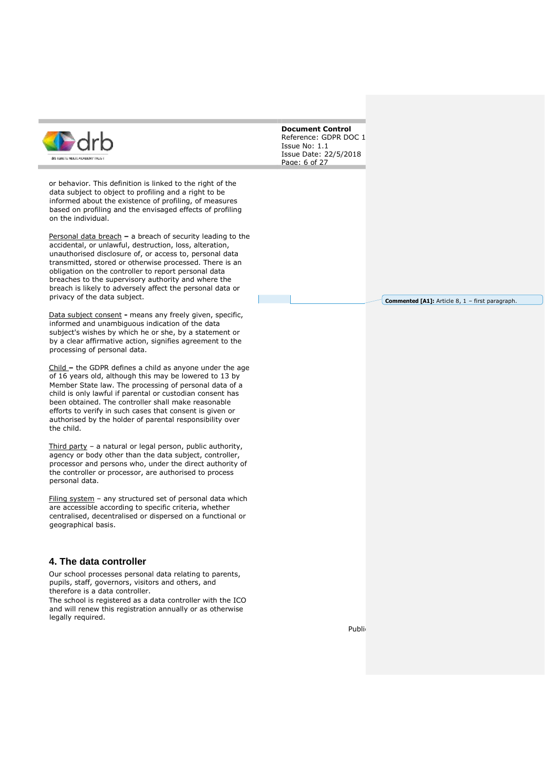

or behavior. This definition is linked to the right of the data subject to object to profiling and a right to be informed about the existence of profiling, of measures based on profiling and the envisaged effects of profiling on the individual.

Personal data breach **–** a breach of security leading to the accidental, or unlawful, destruction, loss, alteration, unauthorised disclosure of, or access to, personal data transmitted, stored or otherwise processed. There is an obligation on the controller to report personal data breaches to the supervisory authority and where the breach is likely to adversely affect the personal data or privacy of the data subject.

Data subject consent **-** means any freely given, specific, informed and unambiguous indication of the data subject's wishes by which he or she, by a statement or by a clear affirmative action, signifies agreement to the processing of personal data.

Child **–** the GDPR defines a child as anyone under the age of 16 years old, although this may be lowered to 13 by Member State law. The processing of personal data of a child is only lawful if parental or custodian consent has been obtained. The controller shall make reasonable efforts to verify in such cases that consent is given or authorised by the holder of parental responsibility over the child.

Third party – a natural or legal person, public authority, agency or body other than the data subject, controller, processor and persons who, under the direct authority of the controller or processor, are authorised to process personal data.

Filing system – any structured set of personal data which are accessible according to specific criteria, whether centralised, decentralised or dispersed on a functional or geographical basis.

### **4. The data controller**

Our school processes personal data relating to parents, pupils, staff, governors, visitors and others, and therefore is a data controller.

The school is registered as a data controller with the ICO and will renew this registration annually or as otherwise legally required.

# **Document Control**

Reference: GDPR DOC 1 Issue No: 1.1 Issue Date: 22/5/2018 Page: 6 of 27

**Commented [A1]:** Article 8, 1 – first paragraph.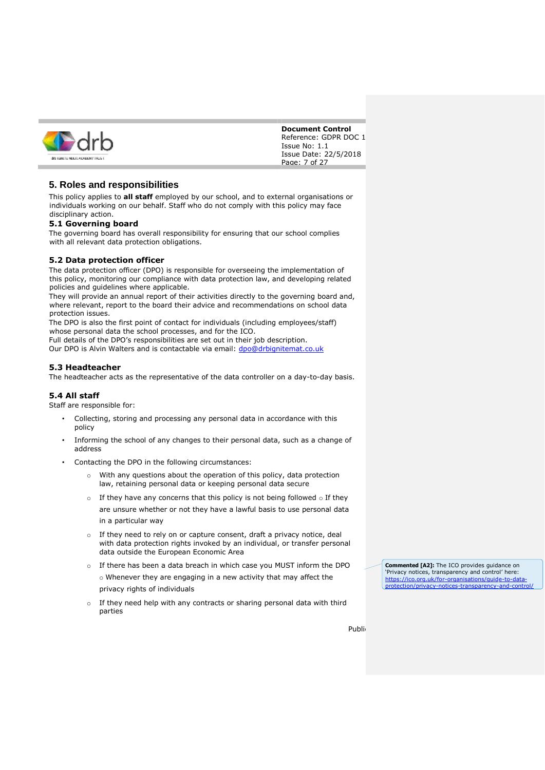

**Document Control** Reference: GDPR DOC 1.0 Issue No: 1.1 Issue Date: 22/5/2018 Page: 7 of 27

# **5. Roles and responsibilities**

This policy applies to **all staff** employed by our school, and to external organisations or individuals working on our behalf. Staff who do not comply with this policy may face disciplinary action.

### **5.1 Governing board**

The governing board has overall responsibility for ensuring that our school complies with all relevant data protection obligations.

### **5.2 Data protection officer**

The data protection officer (DPO) is responsible for overseeing the implementation of this policy, monitoring our compliance with data protection law, and developing related policies and guidelines where applicable.

They will provide an annual report of their activities directly to the governing board and, where relevant, report to the board their advice and recommendations on school data protection issues.

The DPO is also the first point of contact for individuals (including employees/staff) whose personal data the school processes, and for the ICO.

Full details of the DPO's responsibilities are set out in their job description. Our DPO is Alvin Walters and is contactable via email: dpo@drbignitemat.co.uk

### **5.3 Headteacher**

The headteacher acts as the representative of the data controller on a day-to-day basis.

### **5.4 All staff**

Staff are responsible for:

- Collecting, storing and processing any personal data in accordance with this policy
- Informing the school of any changes to their personal data, such as a change of address
- Contacting the DPO in the following circumstances:
	- o With any questions about the operation of this policy, data protection law, retaining personal data or keeping personal data secure
	- If they have any concerns that this policy is not being followed  $\circ$  If they are unsure whether or not they have a lawful basis to use personal data in a particular way
	- o If they need to rely on or capture consent, draft a privacy notice, deal with data protection rights invoked by an individual, or transfer personal data outside the European Economic Area
	- o If there has been a data breach in which case you MUST inform the DPO o Whenever they are engaging in a new activity that may affect the privacy rights of individuals
	- o If they need help with any contracts or sharing personal data with third parties

**Commented [A2]:** The ICO provides guidance on 'Privacy notices, transparency and control' here: https://ico.org.uk/for-organisations/guide-to-dat [protection/privacy-notices-transparency-and-control/](https://ico.org.uk/for-organisations/guide-to-data-protection/privacy-notices-transparency-and-control/)

Public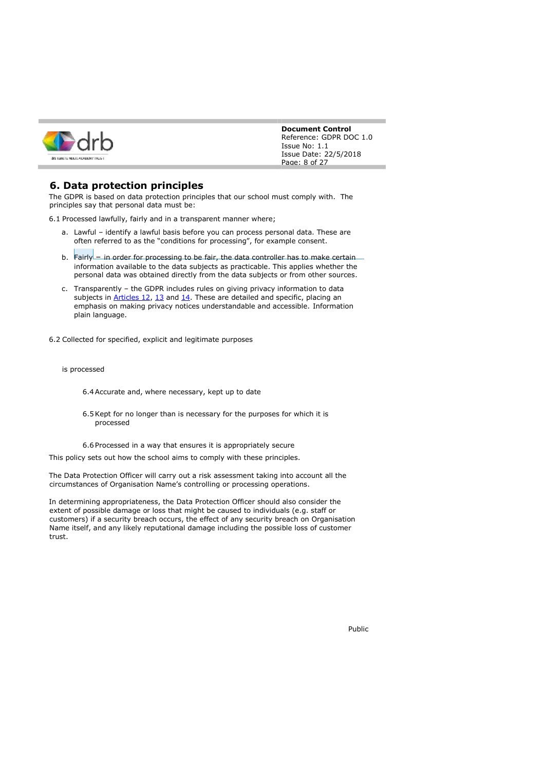

**Document Control** Reference: GDPR DOC 1.0 Issue No: 1.1 Issue Date: 22/5/2018 Page: 8 of 27

# **6. Data protection principles**

The GDPR is based on data protection principles that our school must comply with. The principles say that personal data must be:

6.1 Processed lawfully, fairly and in a transparent manner where;

- a. Lawful identify a lawful basis before you can process personal data. These are often referred to as the "conditions for processing", for example consent.
- b. Fairly  $-$  in order for processing to be fair, the data controller has to make certain information available to the data subjects as practicable. This applies whether the personal data was obtained directly from the data subjects or from other sources.
- c. Transparently the GDPR includes rules on giving privacy information to data subjects in  $Articles$  12, [13](https://gdpr-info.eu/art-13-gdpr/) [a](https://gdpr-info.eu/art-13-gdpr/)nd  $14$ . These are detailed and specific, placing an emphasis on making privacy notices understandable and accessible. Information plain language.
- 6.2 Collected for specified, explicit and legitimate purposes

#### is processed

- 6.4Accurate and, where necessary, kept up to date
- 6.5Kept for no longer than is necessary for the purposes for which it is processed

6.6Processed in a way that ensures it is appropriately secure

This policy sets out how the school aims to comply with these principles.

The Data Protection Officer will carry out a risk assessment taking into account all the circumstances of Organisation Name's controlling or processing operations.

In determining appropriateness, the Data Protection Officer should also consider the extent of possible damage or loss that might be caused to individuals (e.g. staff or customers) if a security breach occurs, the effect of any security breach on Organisation Name itself, and any likely reputational damage including the possible loss of customer trust.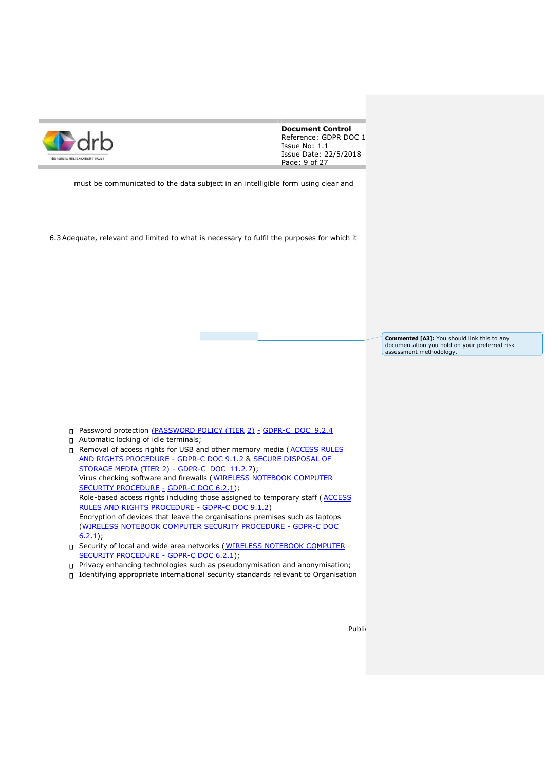

**Document Control** Reference: GDPR DOC 1 Issue No: 1.1 Issue Date: 22/5/2018 Page: 9 of 27

must be communicated to the data subject in an intelligible form using clear and

6.3Adequate, relevant and limited to what is necessary to fulfil the purposes for which it

**Commented [A3]:** You should link this to any documentation you hold on your preferred risk assessment methodology.

- □ Password protection [\(PASSWORD POLICY \(TIER 2\)](https://thedrbgroup.sharepoint.com/:w:/g/dimat/EWzF9z6Z8dlDkv_jSCcwUPIBdudLTlV2EkmhjbHz_3zpzg?e=9Ci26Y) [-](https://thedrbgroup.sharepoint.com/:w:/g/dimat/EWzF9z6Z8dlDkv_jSCcwUPIBdudLTlV2EkmhjbHz_3zpzg?e=9Ci26Y) [GDPR-C\\_DOC\\_9.2.4](https://thedrbgroup.sharepoint.com/:w:/g/dimat/EWzF9z6Z8dlDkv_jSCcwUPIBdudLTlV2EkmhjbHz_3zpzg?e=9Ci26Y)
- □ Automatic locking of idle terminals;

Removal of access rights for USB and other memory media [\(ACCESS RULES](https://thedrbgroup.sharepoint.com/:w:/g/dimat/EZS8RlpmnfZDv-bLhWypULMB7JB4RUbXL3IYBBX-i0yHMg?e=VLUteo) [AND RIGHTS PROCEDURE](https://thedrbgroup.sharepoint.com/:w:/g/dimat/EZS8RlpmnfZDv-bLhWypULMB7JB4RUbXL3IYBBX-i0yHMg?e=VLUteo) [-](https://thedrbgroup.sharepoint.com/:w:/g/dimat/EZS8RlpmnfZDv-bLhWypULMB7JB4RUbXL3IYBBX-i0yHMg?e=VLUteo) [GDPR-C DOC 9.1.2](https://thedrbgroup.sharepoint.com/:w:/g/dimat/EZS8RlpmnfZDv-bLhWypULMB7JB4RUbXL3IYBBX-i0yHMg?e=VLUteo) [& SECURE DISPOSAL OF](https://thedrbgroup.sharepoint.com/:w:/g/dimat/ESPjQFLXQDVLi1p_eNXvVmMBzEOvbRjmUzqnkEskXIcRqQ?e=gtafI9) [STORAGE MEDIA \(TIER 2\)](https://thedrbgroup.sharepoint.com/:w:/g/dimat/ESPjQFLXQDVLi1p_eNXvVmMBzEOvbRjmUzqnkEskXIcRqQ?e=gtafI9) - [GDPR-C\\_DOC\\_11.2.7\);](https://thedrbgroup.sharepoint.com/:w:/g/dimat/ESPjQFLXQDVLi1p_eNXvVmMBzEOvbRjmUzqnkEskXIcRqQ?e=gtafI9) Virus checking software [and f](https://thedrbgroup.sharepoint.com/:w:/g/dimat/ESPjQFLXQDVLi1p_eNXvVmMBzEOvbRjmUzqnkEskXIcRqQ?e=gtafI9)irewalls [\(WIRELESS NOTEBOOK COMPUTER](https://thedrbgroup.sharepoint.com/:w:/g/dimat/EVK87JD3R6hMqPOaN76np9sBuQGcUQtRkgxKjH-p67BOiw?e=ju7FHL) [SECURITY PROCEDURE](https://thedrbgroup.sharepoint.com/:w:/g/dimat/EVK87JD3R6hMqPOaN76np9sBuQGcUQtRkgxKjH-p67BOiw?e=ju7FHL) - [GDPR-C DOC 6.2.1\);](https://thedrbgroup.sharepoint.com/:w:/g/dimat/EVK87JD3R6hMqPOaN76np9sBuQGcUQtRkgxKjH-p67BOiw?e=ju7FHL) Role-based access ri[ghts in](https://thedrbgroup.sharepoint.com/:w:/g/dimat/EVK87JD3R6hMqPOaN76np9sBuQGcUQtRkgxKjH-p67BOiw?e=ju7FHL)cluding those assigned to temporary staff [\(ACCESS](https://thedrbgroup.sharepoint.com/:w:/g/dimat/EZS8RlpmnfZDv-bLhWypULMB7JB4RUbXL3IYBBX-i0yHMg?e=VLUteo) [RULES AND RIGHTS PROCEDURE](https://thedrbgroup.sharepoint.com/:w:/g/dimat/EZS8RlpmnfZDv-bLhWypULMB7JB4RUbXL3IYBBX-i0yHMg?e=VLUteo) - [GDPR-C DOC 9.1.2\)](https://thedrbgroup.sharepoint.com/:w:/g/dimat/EZS8RlpmnfZDv-bLhWypULMB7JB4RUbXL3IYBBX-i0yHMg?e=VLUteo) Encryption of devices that leav[e the](https://thedrbgroup.sharepoint.com/:w:/g/dimat/EZS8RlpmnfZDv-bLhWypULMB7JB4RUbXL3IYBBX-i0yHMg?e=VLUteo) organisations pre[mi](https://thedrbgroup.sharepoint.com/:w:/g/dimat/EZS8RlpmnfZDv-bLhWypULMB7JB4RUbXL3IYBBX-i0yHMg?e=VLUteo)ses such as laptops [\(WIRELESS NOTEBOOK COMPUTER SECURITY PROCEDURE](https://thedrbgroup.sharepoint.com/:w:/g/dimat/EVK87JD3R6hMqPOaN76np9sBuQGcUQtRkgxKjH-p67BOiw?e=ju7FHL) [-](https://thedrbgroup.sharepoint.com/:w:/g/dimat/EVK87JD3R6hMqPOaN76np9sBuQGcUQtRkgxKjH-p67BOiw?e=ju7FHL) [GDPR-C DOC](https://thedrbgroup.sharepoint.com/:w:/g/dimat/EVK87JD3R6hMqPOaN76np9sBuQGcUQtRkgxKjH-p67BOiw?e=ju7FHL)  $6.2.1$ 

- G Security of local and wide area networks [\(WIRELESS NOTEBOOK COMPUTER](https://thedrbgroup.sharepoint.com/:w:/g/dimat/EVK87JD3R6hMqPOaN76np9sBuQGcUQtRkgxKjH-p67BOiw?e=ju7FHL) [SECURITY PROCEDURE](https://thedrbgroup.sharepoint.com/:w:/g/dimat/EVK87JD3R6hMqPOaN76np9sBuQGcUQtRkgxKjH-p67BOiw?e=ju7FHL) - [GDPR-C DOC 6.2.1\);](https://thedrbgroup.sharepoint.com/:w:/g/dimat/EVK87JD3R6hMqPOaN76np9sBuQGcUQtRkgxKjH-p67BOiw?e=ju7FHL)
- Privacy enhancing te[chnolo](https://thedrbgroup.sharepoint.com/:w:/g/dimat/EVK87JD3R6hMqPOaN76np9sBuQGcUQtRkgxKjH-p67BOiw?e=ju7FHL)gies such as pseudonymisation and anonymisation;
- Identifying appropriate international security standards relevant to Organisation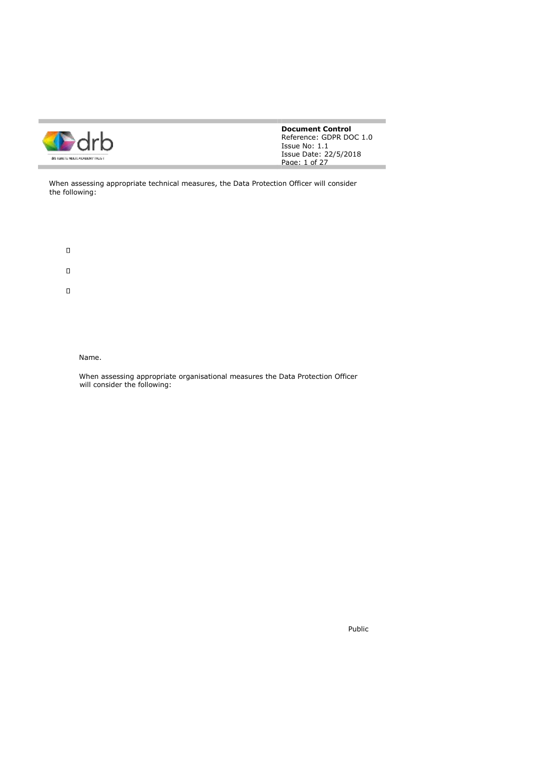

**Document Control** Reference: GDPR DOC 1.0 Issue No: 1.1 Issue Date: 22/5/2018 Page: 1 of 27

When assessing appropriate technical measures, the Data Protection Officer will consider the following:



Name.

When assessing appropriate organisational measures the Data Protection Officer will consider the following: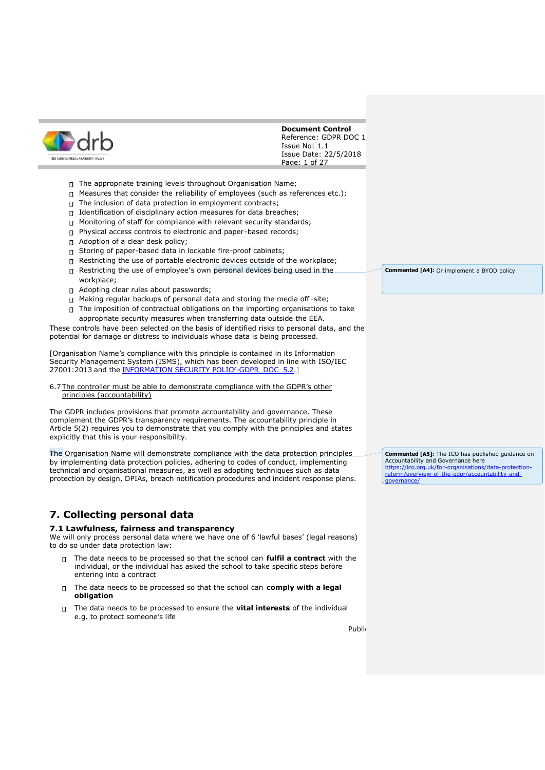

Reference: GDPR DOC 1 Issue No: 1.1 Issue Date: 22/5/2018 Page: 1 of 27

- □ The appropriate training levels throughout Organisation Name;
- $\Box$  Measures that consider the reliability of employees (such as references etc.);
- $\Box$  The inclusion of data protection in employment contracts;
- Identification of disciplinary action measures for data breaches;
- □ Monitoring of staff for compliance with relevant security standards;
- Physical access controls to electronic and paper-based records;
- Adoption of a clear desk policy;
- □ Storing of paper-based data in lockable fire-proof cabinets;
- Restricting the use of portable electronic devices outside of the workplace;
- $\Box$  Restricting the use of employee's own personal devices being used in the workplace:
- Adopting clear rules about passwords;
- Making regular backups of personal data and storing the media off -site;
- $\Box$  The imposition of contractual obligations on the importing organisations to take appropriate security measures when transferring data outside the EEA.

These controls have been selected on the basis of identified risks to personal data, and the potential for damage or distress to individuals whose data is being processed.

[Organisation Name's compliance with this principle is contained in its Information Security Management System (ISMS), which has been developed in line with ISO/IEC 27001:2013 and th[e INFORMATION SECURITY POLICY-GDPR\\_DOC\\_5.2.\]](https://thedrbgroup.sharepoint.com/:w:/g/dimat/EeWndVpxEYlAtS9EPKWUQrABola7D9a6NRleHLci7evX_A?e=YAK6vp)

6.7 The controller must be able to demonstrate compliance with the GDPR's other principles (accountability)

The GDPR includes provisions that promote accountability and governance. These complement the GDPR's transparency requirements. The accountability principle in Article 5(2) requires you to demonstrate that you comply with the principles and states explicitly that this is your responsibility.

The Organisation Name will demonstrate compliance with the data protection principles by implementing data protection policies, adhering to codes of conduct, implementing technical and organisational measures, as well as adopting techniques such as data protection by design, DPIAs, breach notification procedures and incident response plans.

# **7. Collecting personal data**

### **7.1 Lawfulness, fairness and transparency**

We will only process personal data where we have one of 6 'lawful bases' (legal reasons) to do so under data protection law:

- $\Box$ The data needs to be processed so that the school can **fulfil a contract** with the individual, or the individual has asked the school to take specific steps before entering into a contract
- The data needs to be processed so that the school can **comply with a legal obligation**
- The data needs to be processed to ensure the **vital interests** of the individual e.g. to protect someone's life

Public

**Commented [A4]:** Or implement a BYOD policy

**Commented [A5]:** The ICO has published guidance on Accountability and Governance here<br>[https://ico.org.uk/for-organisations/data-protection](https://ico.org.uk/for-organisations/data-protection-reform/overview-of-the-gdpr/accountability-and-governance/)[reform/overview-of-the-gdpr/accountability-and-](https://ico.org.uk/for-organisations/data-protection-reform/overview-of-the-gdpr/accountability-and-governance/)

[governance/](https://ico.org.uk/for-organisations/data-protection-reform/overview-of-the-gdpr/accountability-and-governance/)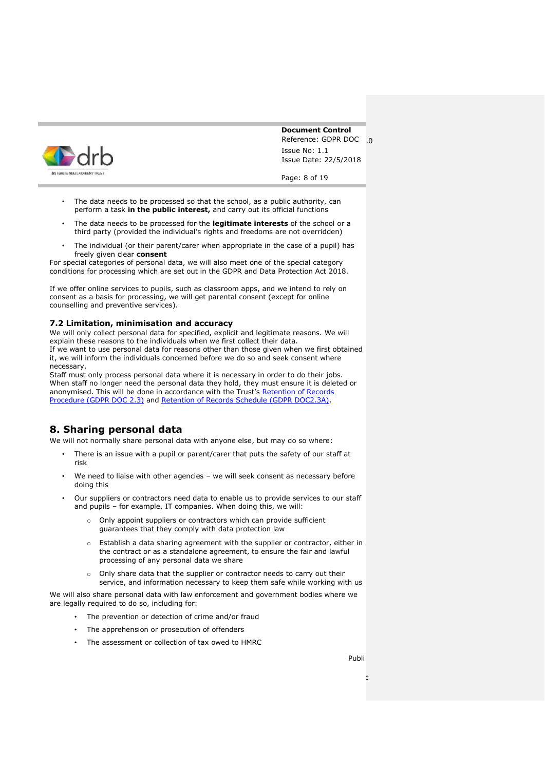

Reference: GDPR DOC 0 Issue No: 1.1 Issue Date: 22/5/2018

Page: 8 of 19

- The data needs to be processed so that the school, as a public authority, can perform a task **in the public interest,** and carry out its official functions
- The data needs to be processed for the **legitimate interests** of the school or a third party (provided the individual's rights and freedoms are not overridden)
- The individual (or their parent/carer when appropriate in the case of a pupil) has freely given clear **consent**

For special categories of personal data, we will also meet one of the special category conditions for processing which are set out in the GDPR and Data Protection Act 2018.

If we offer online services to pupils, such as classroom apps, and we intend to rely on consent as a basis for processing, we will get parental consent (except for online counselling and preventive services).

### **7.2 Limitation, minimisation and accuracy**

We will only collect personal data for specified, explicit and legitimate reasons. We will explain these reasons to the individuals when we first collect their data.

If we want to use personal data for reasons other than those given when we first obtained it, we will inform the individuals concerned before we do so and seek consent where necessary.

Staff must only process personal data where it is necessary in order to do their jobs. When staff no longer need the personal data they hold, they must ensure it is deleted or anonymised. This will be done in accordance with the Trust's [Retention of Records](https://thedrbgroup.sharepoint.com/:w:/g/dimat/EdrHmxxuBO9Kjt4hV2uGaQwBQSFJxC8ghMhlRDZJmCWBrQ?e=YixAEf) [Procedure \(GDPR DOC 2.3\)](https://thedrbgroup.sharepoint.com/:w:/g/dimat/EdrHmxxuBO9Kjt4hV2uGaQwBQSFJxC8ghMhlRDZJmCWBrQ?e=YixAEf) and [Retention of Records Schedule \(GDPR DOC2.3A\).](https://thedrbgroup.sharepoint.com/:w:/g/dimat/ESzkE9yucAtCu30oaL8jJyIB68UVTJsFXXe2UeIUvnyQgQ?e=3eau1u)

# **8. Sharing personal data**

We will not normally share personal data with anyone else, but may do so where:

- There is an issue with a pupil or parent/carer that puts the safety of our staff at risk
- We need to liaise with other agencies we will seek consent as necessary before doing this
- Our suppliers or contractors need data to enable us to provide services to our staff and pupils – for example, IT companies. When doing this, we will:
	- o Only appoint suppliers or contractors which can provide sufficient guarantees that they comply with data protection law
	- o Establish a data sharing agreement with the supplier or contractor, either in the contract or as a standalone agreement, to ensure the fair and lawful processing of any personal data we share
	- o Only share data that the supplier or contractor needs to carry out their service, and information necessary to keep them safe while working with us

We will also share personal data with law enforcement and government bodies where we are legally required to do so, including for:

- The prevention or detection of crime and/or fraud
- The apprehension or prosecution of offenders
- The assessment or collection of tax owed to HMRC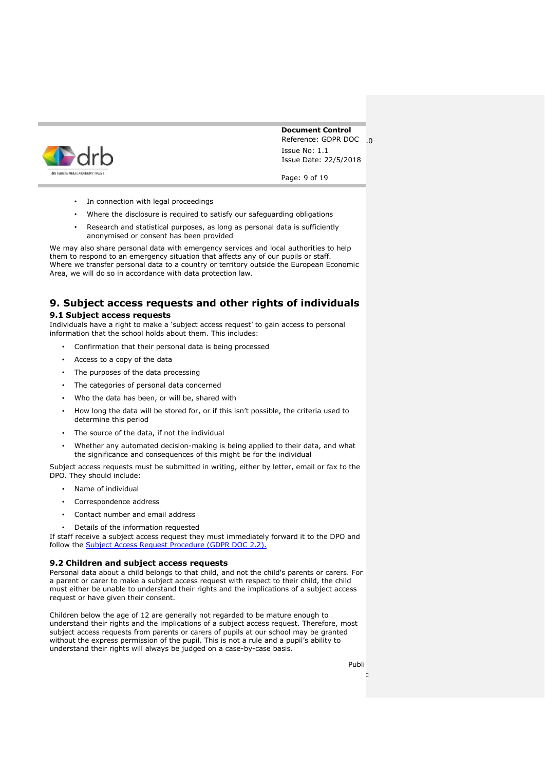

Reference: GDPR DOC 0 Issue No: 1.1 Issue Date: 22/5/2018

Page: 9 of 19

- In connection with legal proceedings
- Where the disclosure is required to satisfy our safeguarding obligations
- Research and statistical purposes, as long as personal data is sufficiently anonymised or consent has been provided

We may also share personal data with emergency services and local authorities to help them to respond to an emergency situation that affects any of our pupils or staff. Where we transfer personal data to a country or territory outside the European Economic Area, we will do so in accordance with data protection law.

# **9. Subject access requests and other rights of individuals**

### **9.1 Subject access requests**

Individuals have a right to make a 'subject access request' to gain access to personal information that the school holds about them. This includes:

- Confirmation that their personal data is being processed
- Access to a copy of the data
- The purposes of the data processing
- The categories of personal data concerned
- Who the data has been, or will be, shared with
- How long the data will be stored for, or if this isn't possible, the criteria used to determine this period
- The source of the data, if not the individual
- Whether any automated decision-making is being applied to their data, and what the significance and consequences of this might be for the individual

Subject access requests must be submitted in writing, either by letter, email or fax to the DPO. They should include:

- Name of individual
- Correspondence address
- Contact number and email address
- Details of the information requested

If staff receive a subject access request they must immediately forward it to the DPO and follow th[e Subject Access Request Procedure \(GDPR DOC 2.2\).](https://thedrbgroup.sharepoint.com/:w:/g/dimat/ES4CHTJeS3dFgKkfsA156qUB0rrMrnhoFcXzMDr9to73sA?e=VPsBdG)

### **9.2 Children and subject access requests**

Personal data about a child belongs to that child, and not the child's parents or carers. For a parent or carer to make a subject access request with respect to their child, the child must either be unable to understand their rights and the implications of a subject access request or have given their consent.

Children below the age of 12 are generally not regarded to be mature enough to understand their rights and the implications of a subject access request. Therefore, most subject access requests from parents or carers of pupils at our school may be granted without the express permission of the pupil. This is not a rule and a pupil's ability to understand their rights will always be judged on a case-by-case basis.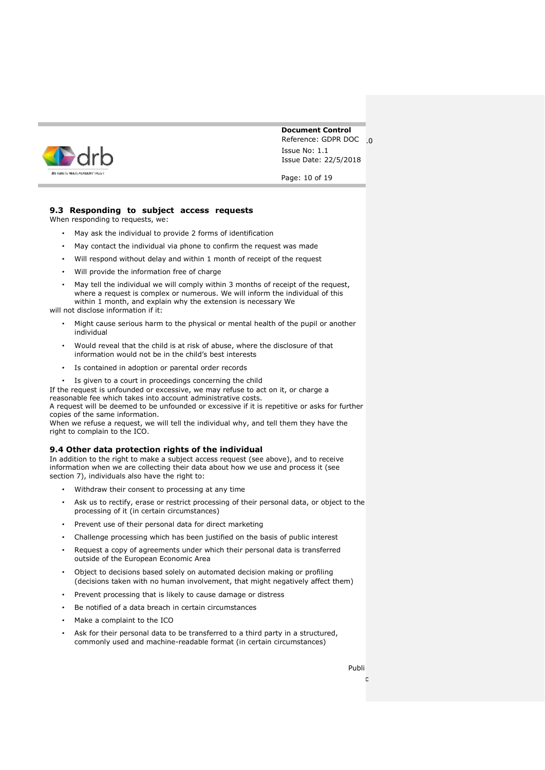

Reference: GDPR DOC 0 Issue No: 1.1 Issue Date: 22/5/2018

Page: 10 of 19

### **9.3 Responding to subject access requests**

When responding to requests, we:

- May ask the individual to provide 2 forms of identification
- May contact the individual via phone to confirm the request was made
- Will respond without delay and within 1 month of receipt of the request
- Will provide the information free of charge
- May tell the individual we will comply within 3 months of receipt of the request, where a request is complex or numerous. We will inform the individual of this within 1 month, and explain why the extension is necessary We

will not disclose information if it:

- Might cause serious harm to the physical or mental health of the pupil or another individual
- Would reveal that the child is at risk of abuse, where the disclosure of that information would not be in the child's best interests
- Is contained in adoption or parental order records
- Is given to a court in proceedings concerning the child

If the request is unfounded or excessive, we may refuse to act on it, or charge a reasonable fee which takes into account administrative costs.

A request will be deemed to be unfounded or excessive if it is repetitive or asks for further copies of the same information.

When we refuse a request, we will tell the individual why, and tell them they have the right to complain to the ICO.

### **9.4 Other data protection rights of the individual**

In addition to the right to make a subject access request (see above), and to receive information when we are collecting their data about how we use and process it (see section 7), individuals also have the right to:

- Withdraw their consent to processing at any time
- Ask us to rectify, erase or restrict processing of their personal data, or object to the processing of it (in certain circumstances)
- Prevent use of their personal data for direct marketing
- Challenge processing which has been justified on the basis of public interest
- Request a copy of agreements under which their personal data is transferred outside of the European Economic Area
- Object to decisions based solely on automated decision making or profiling (decisions taken with no human involvement, that might negatively affect them)
- Prevent processing that is likely to cause damage or distress
- Be notified of a data breach in certain circumstances
- Make a complaint to the ICO
- Ask for their personal data to be transferred to a third party in a structured, commonly used and machine-readable format (in certain circumstances)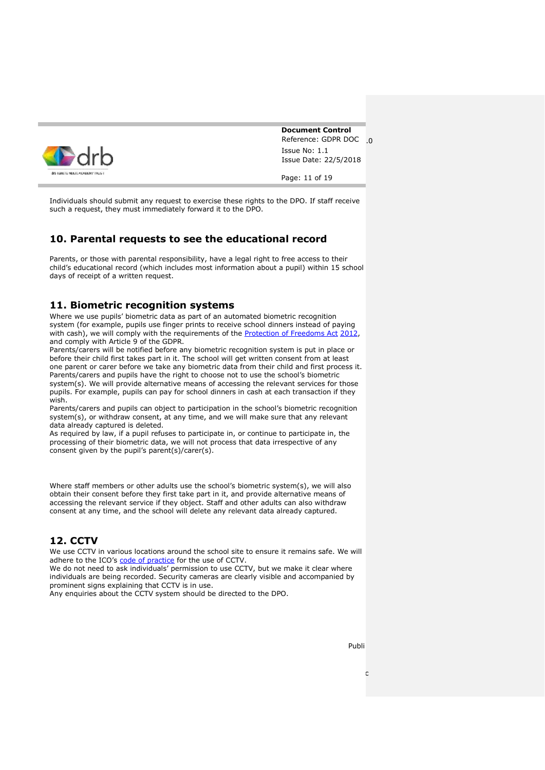

Reference: GDPR DOC 0 **Document Control** Issue No: 1.1 Issue Date: 22/5/2018

Page: 11 of 19

Individuals should submit any request to exercise these rights to the DPO. If staff receive such a request, they must immediately forward it to the DPO.

# **10. Parental requests to see the educational record**

Parents, or those with parental responsibility, have a legal right to free access to their child's educational record (which includes most information about a pupil) within 15 school days of receipt of a written request.

# **11. Biometric recognition systems**

Where we use pupils' biometric data as part of an automated biometric recognition system (for example, pupils use finger prints to receive school dinners instead of paying with cash), we will comply with the requirements of the [Protection of Freedoms Act](https://www.legislation.gov.uk/ukpga/2012/9/section/26) [2012,](https://www.legislation.gov.uk/ukpga/2012/9/section/26) and comply with Article 9 of the GDPR.

Parents/carers will be notified before any biometric recognition system is put in place or before their child first takes part in it. The school will get written consent from at least one parent or carer before we take any biometric data from their child and first process it. Parents/carers and pupils have the right to choose not to use the school's biometric system(s). We will provide alternative means of accessing the relevant services for those pupils. For example, pupils can pay for school dinners in cash at each transaction if they wish.

Parents/carers and pupils can object to participation in the school's biometric recognition system(s), or withdraw consent, at any time, and we will make sure that any relevant data already captured is deleted.

As required by law, if a pupil refuses to participate in, or continue to participate in, the processing of their biometric data, we will not process that data irrespective of any consent given by the pupil's parent(s)/carer(s).

Where staff members or other adults use the school's biometric system(s), we will also obtain their consent before they first take part in it, and provide alternative means of accessing the relevant service if they object. Staff and other adults can also withdraw consent at any time, and the school will delete any relevant data already captured.

# **12. CCTV**

We use CCTV in various locations around the school site to ensure it remains safe. We will adhere to the ICO's [code of practice](https://ico.org.uk/media/for-organisations/documents/1542/cctv-code-of-practice.pdf) for the use of CCTV.

We do not need to ask individuals' permission to use CCTV, but we make it clear where individuals are being recorded. Security cameras are clearly visible and accompanied by prominent signs explaining that CCTV is in use.

Any enquiries about the CCTV system should be directed to the DPO.

c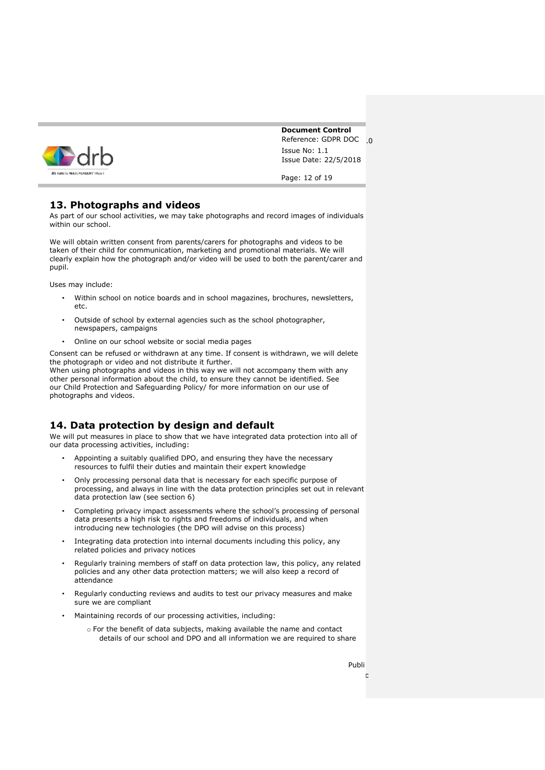

Reference: GDPR DOC 0 Issue No: 1.1 Issue Date: 22/5/2018

Page: 12 of 19

# **13. Photographs and videos**

As part of our school activities, we may take photographs and record images of individuals within our school.

We will obtain written consent from parents/carers for photographs and videos to be taken of their child for communication, marketing and promotional materials. We will clearly explain how the photograph and/or video will be used to both the parent/carer and pupil.

Uses may include:

- Within school on notice boards and in school magazines, brochures, newsletters, etc.
- Outside of school by external agencies such as the school photographer, newspapers, campaigns
- Online on our school website or social media pages

Consent can be refused or withdrawn at any time. If consent is withdrawn, we will delete the photograph or video and not distribute it further.

When using photographs and videos in this way we will not accompany them with any other personal information about the child, to ensure they cannot be identified. See our Child Protection and Safeguarding Policy/ for more information on our use of photographs and videos.

# **14. Data protection by design and default**

We will put measures in place to show that we have integrated data protection into all of our data processing activities, including:

- Appointing a suitably qualified DPO, and ensuring they have the necessary resources to fulfil their duties and maintain their expert knowledge
- Only processing personal data that is necessary for each specific purpose of processing, and always in line with the data protection principles set out in relevant data protection law (see section 6)
- Completing privacy impact assessments where the school's processing of personal data presents a high risk to rights and freedoms of individuals, and when introducing new technologies (the DPO will advise on this process)
- Integrating data protection into internal documents including this policy, any related policies and privacy notices
- Regularly training members of staff on data protection law, this policy, any related policies and any other data protection matters; we will also keep a record of attendance
- Regularly conducting reviews and audits to test our privacy measures and make sure we are compliant
- Maintaining records of our processing activities, including:
	- o For the benefit of data subjects, making available the name and contact details of our school and DPO and all information we are required to share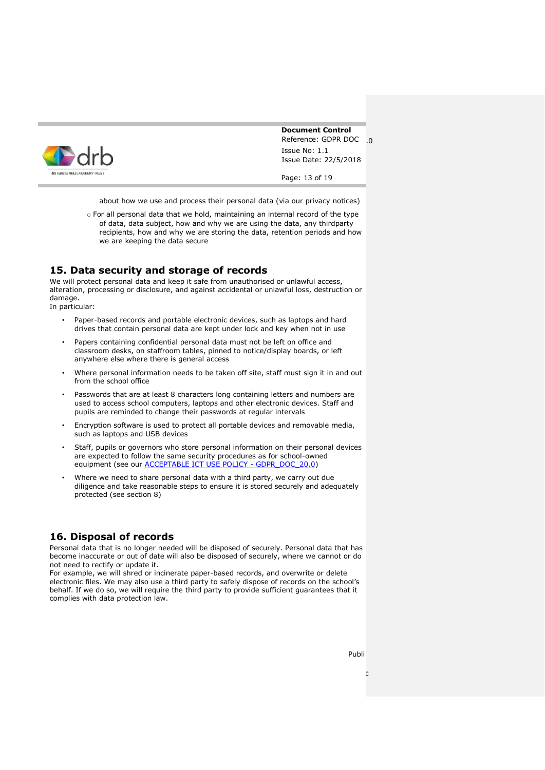

Reference: GDPR DOC 0 **Document Control** Issue No: 1.1 Issue Date: 22/5/2018

Page: 13 of 19

about how we use and process their personal data (via our privacy notices)

o For all personal data that we hold, maintaining an internal record of the type of data, data subject, how and why we are using the data, any thirdparty recipients, how and why we are storing the data, retention periods and how we are keeping the data secure

# **15. Data security and storage of records**

We will protect personal data and keep it safe from unauthorised or unlawful access, alteration, processing or disclosure, and against accidental or unlawful loss, destruction or damage.

In particular:

- Paper-based records and portable electronic devices, such as laptops and hard drives that contain personal data are kept under lock and key when not in use
- Papers containing confidential personal data must not be left on office and classroom desks, on staffroom tables, pinned to notice/display boards, or left anywhere else where there is general access
- Where personal information needs to be taken off site, staff must sign it in and out from the school office
- Passwords that are at least 8 characters long containing letters and numbers are used to access school computers, laptops and other electronic devices. Staff and pupils are reminded to change their passwords at regular intervals
- Encryption software is used to protect all portable devices and removable media, such as laptops and USB devices
- Staff, pupils or governors who store personal information on their personal devices are expected to follow the same security procedures as for school-owned equipment (see our **ACCEPTABLE ICT USE POLICY - [GDPR\\_DOC\\_20.0\)](https://thedrbgroup.sharepoint.com/:w:/g/dimat/EQmsO2y2IItAs-Q4fgwaqRsBiITSi-h_Tr7ugxUFOYIQrg?e=gGSZld)**
- Where we need to share personal data with a third party, we carry out due diligence and take reasonable steps to ensure it is stored securely and adequately protected (see section 8)

# **16. Disposal of records**

Personal data that is no longer needed will be disposed of securely. Personal data that has become inaccurate or out of date will also be disposed of securely, where we cannot or do not need to rectify or update it.

For example, we will shred or incinerate paper-based records, and overwrite or delete electronic files. We may also use a third party to safely dispose of records on the school's behalf. If we do so, we will require the third party to provide sufficient guarantees that it complies with data protection law.

Publi

c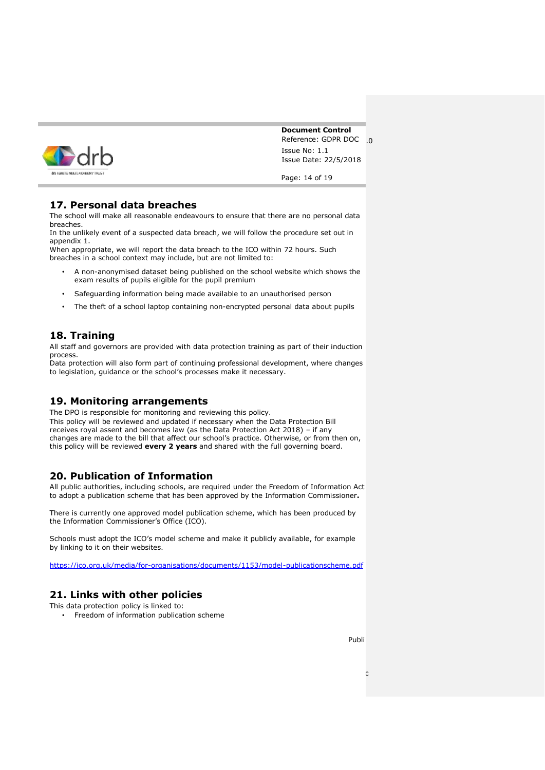

Reference: GDPR DOC 0 Issue No: 1.1 Issue Date: 22/5/2018

Page: 14 of 19

# **17. Personal data breaches**

The school will make all reasonable endeavours to ensure that there are no personal data breaches.

In the unlikely event of a suspected data breach, we will follow the procedure set out in appendix 1.

When appropriate, we will report the data breach to the ICO within 72 hours. Such breaches in a school context may include, but are not limited to:

- A non-anonymised dataset being published on the school website which shows the exam results of pupils eligible for the pupil premium
- Safeguarding information being made available to an unauthorised person
- The theft of a school laptop containing non-encrypted personal data about pupils

# **18. Training**

All staff and governors are provided with data protection training as part of their induction process.

Data protection will also form part of continuing professional development, where changes to legislation, guidance or the school's processes make it necessary.

# **19. Monitoring arrangements**

The DPO is responsible for monitoring and reviewing this policy. This policy will be reviewed and updated if necessary when the Data Protection Bill receives royal assent and becomes law (as the Data Protection Act 2018) – if any changes are made to the bill that affect our school's practice. Otherwise, or from then on, this policy will be reviewed **every 2 years** and shared with the full governing board.

# **20. Publication of Information**

All public authorities, including schools, are required under the Freedom of Information Act to adopt a publication scheme that has been approved by the Information Commissioner**.** 

There is currently one approved model publication scheme, which has been produced by the Information Commissioner's Office (ICO).

Schools must adopt the ICO's model scheme and make it publicly available, for example by linking to it on their websites.

[https://ico.org.uk/media/for-organisations/documents/1153/model-publicationscheme.pdf](https://ico.org.uk/media/for-organisations/documents/1153/model-publication-scheme.pdf)

# **21. Links with other policies**

This data protection policy is linked to:

• Freedom of information publication scheme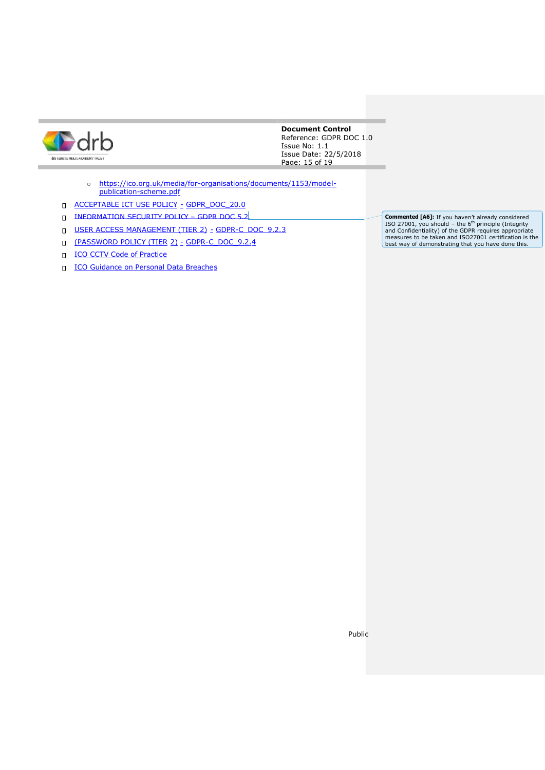

**Document Control** Reference: GDPR DOC 1.0 Issue No: 1.1 Issue Date: 22/5/2018 Page: 15 of 19

- [o](https://ico.org.uk/media/for-organisations/documents/1153/model-publication-scheme.pdf) [https://ico.org.uk/media/for-organisations/documents/1153/model](https://ico.org.uk/media/for-organisations/documents/1153/model-publication-scheme.pdf)[publication-scheme.pdf](https://ico.org.uk/media/for-organisations/documents/1153/model-publication-scheme.pdf)
- D [ACCEPTABLE ICT USE POLICY](https://thedrbgroup.sharepoint.com/:w:/g/dimat/EQmsO2y2IItAs-Q4fgwaqRsBiITSi-h_Tr7ugxUFOYIQrg?e=gGSZld) [-](https://thedrbgroup.sharepoint.com/:w:/g/dimat/EQmsO2y2IItAs-Q4fgwaqRsBiITSi-h_Tr7ugxUFOYIQrg?e=gGSZld) [GDPR\\_DOC\\_20.0](https://thedrbgroup.sharepoint.com/:w:/g/dimat/EQmsO2y2IItAs-Q4fgwaqRsBiITSi-h_Tr7ugxUFOYIQrg?e=gGSZld)
- II [INFORMATION SECURITY POLICY](https://thedrbgroup.sharepoint.com/:w:/g/dimat/EeWndVpxEYlAtS9EPKWUQrABola7D9a6NRleHLci7evX_A?e=YAK6vp) [–](https://thedrbgroup.sharepoint.com/:w:/g/dimat/EeWndVpxEYlAtS9EPKWUQrABola7D9a6NRleHLci7evX_A?e=YAK6vp) GDPR DOC 5.2
- [USER ACCESS MANAGEMENT \(TIER 2\)](https://thedrbgroup.sharepoint.com/:w:/g/dimat/EUE7XEVjt31Krkc1fiBxl_EBLew3T9F-gFLU9mN13A7OJA?e=Jfb1lm) [-](https://thedrbgroup.sharepoint.com/:w:/g/dimat/EUE7XEVjt31Krkc1fiBxl_EBLew3T9F-gFLU9mN13A7OJA?e=Jfb1lm) GDPR-C DOC 9.2.3
- [PASSWORD POLICY (TIER 2) [-](https://thedrbgroup.sharepoint.com/:w:/g/dimat/EWzF9z6Z8dlDkv_jSCcwUPIBdudLTlV2EkmhjbHz_3zpzg?e=9Ci26Y) [GDPR-C\\_DOC\\_9.2.4](https://thedrbgroup.sharepoint.com/:w:/g/dimat/EWzF9z6Z8dlDkv_jSCcwUPIBdudLTlV2EkmhjbHz_3zpzg?e=9Ci26Y)
- [ICO CCTV Code of Practice](https://ico.org.uk/media/for-organisations/documents/1542/cctv-code-of-practice.pdf)
- **[ICO Guidance on Personal Data Breaches](https://ico.org.uk/for-organisations/guide-to-the-general-data-protection-regulation-gdpr/personal-data-breaches/)**

**Commented [A6]:** If you haven't already considered ISO 27001, you should – the 6<sup>th</sup> principle (Integrity and Confidentiality) of the GDPR requires appropriate measures to be taken and ISO27001 certification is the best way of demonstrating that you have done this.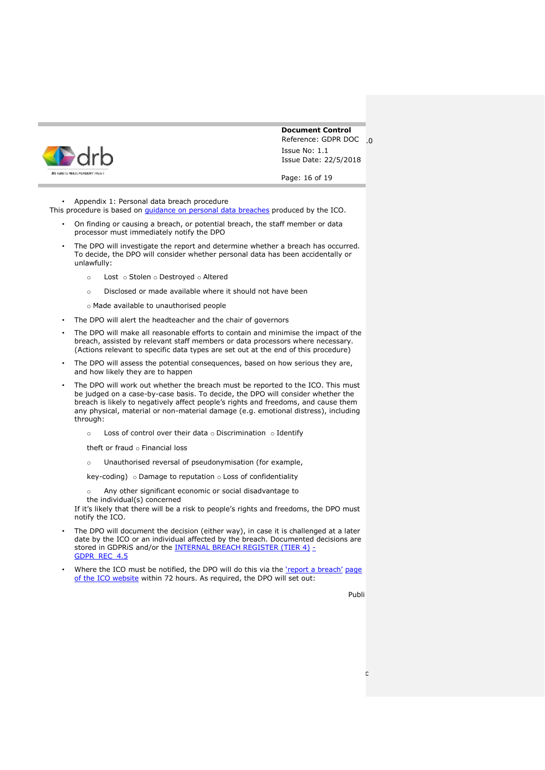

Page: 16 of 19

Reference: GDPR DOC 0 Issue No: 1.1 Issue Date: 22/5/2018

• Appendix 1: Personal data breach procedure

This procedure is based on [guidance on personal data breaches](https://ico.org.uk/for-organisations/guide-to-the-general-data-protection-regulation-gdpr/personal-data-breaches/) produced by the ICO.

- On finding or causing a breach, or potential breach, the staff member or data processor must immediately notify the DPO
- The DPO will investigate the report and determine whether a breach has occurred. To decide, the DPO will consider whether personal data has been accidentally or unlawfully:
	- o Lost o Stolen o Destroyed o Altered
	- o Disclosed or made available where it should not have been
	- o Made available to unauthorised people
- The DPO will alert the headteacher and the chair of governors
- The DPO will make all reasonable efforts to contain and minimise the impact of the breach, assisted by relevant staff members or data processors where necessary. (Actions relevant to specific data types are set out at the end of this procedure)
- The DPO will assess the potential consequences, based on how serious they are, and how likely they are to happen
- The DPO will work out whether the breach must be reported to the ICO. This must be judged on a case-by-case basis. To decide, the DPO will consider whether the breach is likely to negatively affect people's rights and freedoms, and cause them any physical, material or non-material damage (e.g. emotional distress), including through:
	- $\circ$  Loss of control over their data  $\circ$  Discrimination  $\circ$  Identify
	- theft or fraud o Financial loss

o Unauthorised reversal of pseudonymisation (for example,

key-coding)  $\circ$  Damage to reputation  $\circ$  Loss of confidentiality

- Any other significant economic or social disadvantage to
- the individual(s) concerned

If it's likely that there will be a risk to people's rights and freedoms, the DPO must notify the ICO.

- The DPO will document the decision (either way), in case it is challenged at a later date by the ICO or an individual affected by the breach. Documented decisions are stored in GDPRIS and/or the **INTERNAL BREACH REGISTER (TIER 4)** [-](https://thedrbgroup.sharepoint.com/:x:/g/dimat/EZHw6d8ImQpMmQ9giv--qfMBQdbXxqwRZcFfOWV9u1kALw?e=y2Hn7T) [GDPR\\_REC\\_4.5](https://thedrbgroup.sharepoint.com/:x:/g/dimat/EZHw6d8ImQpMmQ9giv--qfMBQdbXxqwRZcFfOWV9u1kALw?e=y2Hn7T)
- Where the ICO must be notified, the DPO will do this via the ['report a breach'](https://ico.org.uk/for-organisations/report-a-breach/) page [of the ICO website](https://ico.org.uk/for-organisations/report-a-breach/) within 72 hours. As required, the DPO will set out:

Publi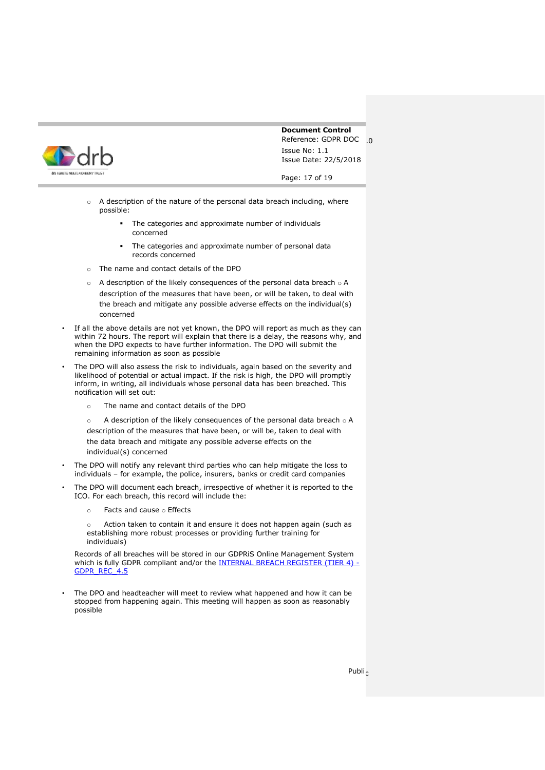

Reference: GDPR DOC 0 Issue No: 1.1 Issue Date: 22/5/2018

Page: 17 of 19

- o A description of the nature of the personal data breach including, where possible:
	- The categories and approximate number of individuals concerned
	- The categories and approximate number of personal data records concerned
- o The name and contact details of the DPO
- $\circ$  A description of the likely consequences of the personal data breach  $\circ$  A description of the measures that have been, or will be taken, to deal with the breach and mitigate any possible adverse effects on the individual(s) concerned
- If all the above details are not yet known, the DPO will report as much as they can within 72 hours. The report will explain that there is a delay, the reasons why, and when the DPO expects to have further information. The DPO will submit the remaining information as soon as possible
- The DPO will also assess the risk to individuals, again based on the severity and likelihood of potential or actual impact. If the risk is high, the DPO will promptly inform, in writing, all individuals whose personal data has been breached. This notification will set out:
	- o The name and contact details of the DPO
	- $\circ$  A description of the likely consequences of the personal data breach  $\circ$  A
	- description of the measures that have been, or will be, taken to deal with the data breach and mitigate any possible adverse effects on the individual(s) concerned
- The DPO will notify any relevant third parties who can help mitigate the loss to individuals – for example, the police, insurers, banks or credit card companies
- The DPO will document each breach, irrespective of whether it is reported to the ICO. For each breach, this record will include the:
	- o Facts and cause o Effects
	- o Action taken to contain it and ensure it does not happen again (such as establishing more robust processes or providing further training for individuals)

Records of all breaches will be stored in our GDPRiS Online Management System which is fully GDPR compliant and/or the **INTERNAL BREACH REGISTER (TIER 4) -**[GDPR\\_REC\\_4.5](https://thedrbgroup.sharepoint.com/:x:/g/dimat/EZHw6d8ImQpMmQ9giv--qfMBQdbXxqwRZcFfOWV9u1kALw?e=y2Hn7T)

• The DPO and headteacher will meet to review what happened and how it can be stopped from happening again. This meeting will happen as soon as reasonably possible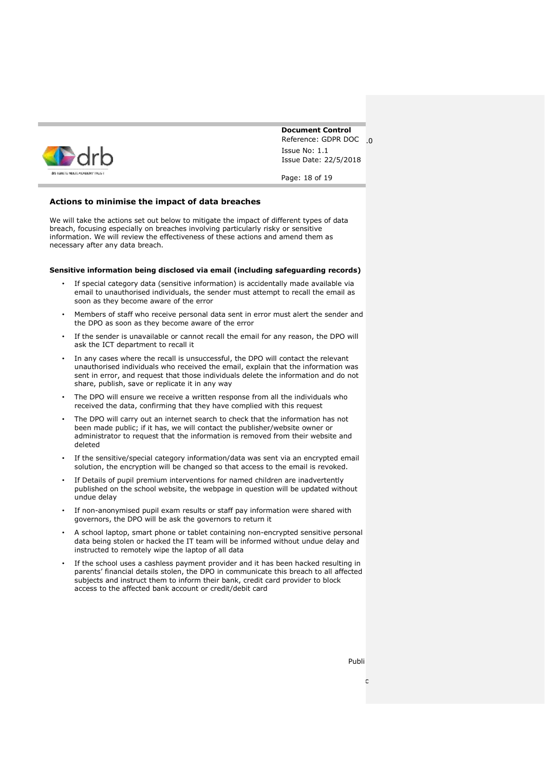

Reference: GDPR DOC 0 **Document Control**

Issue No: 1.1 Issue Date: 22/5/2018

Page: 18 of 19

### **Actions to minimise the impact of data breaches**

We will take the actions set out below to mitigate the impact of different types of data breach, focusing especially on breaches involving particularly risky or sensitive information. We will review the effectiveness of these actions and amend them as necessary after any data breach.

#### **Sensitive information being disclosed via email (including safeguarding records)**

- If special category data (sensitive information) is accidentally made available via email to unauthorised individuals, the sender must attempt to recall the email as soon as they become aware of the error
- Members of staff who receive personal data sent in error must alert the sender and the DPO as soon as they become aware of the error
- If the sender is unavailable or cannot recall the email for any reason, the DPO will ask the ICT department to recall it
- In any cases where the recall is unsuccessful, the DPO will contact the relevant unauthorised individuals who received the email, explain that the information was sent in error, and request that those individuals delete the information and do not share, publish, save or replicate it in any way
- The DPO will ensure we receive a written response from all the individuals who received the data, confirming that they have complied with this request
- The DPO will carry out an internet search to check that the information has not been made public; if it has, we will contact the publisher/website owner or administrator to request that the information is removed from their website and deleted
- If the sensitive/special category information/data was sent via an encrypted email solution, the encryption will be changed so that access to the email is revoked.
- If Details of pupil premium interventions for named children are inadvertently published on the school website, the webpage in question will be updated without undue delay
- If non-anonymised pupil exam results or staff pay information were shared with governors, the DPO will be ask the governors to return it
- A school laptop, smart phone or tablet containing non-encrypted sensitive personal data being stolen or hacked the IT team will be informed without undue delay and instructed to remotely wipe the laptop of all data
- If the school uses a cashless payment provider and it has been hacked resulting in parents' financial details stolen, the DPO in communicate this breach to all affected subjects and instruct them to inform their bank, credit card provider to block access to the affected bank account or credit/debit card